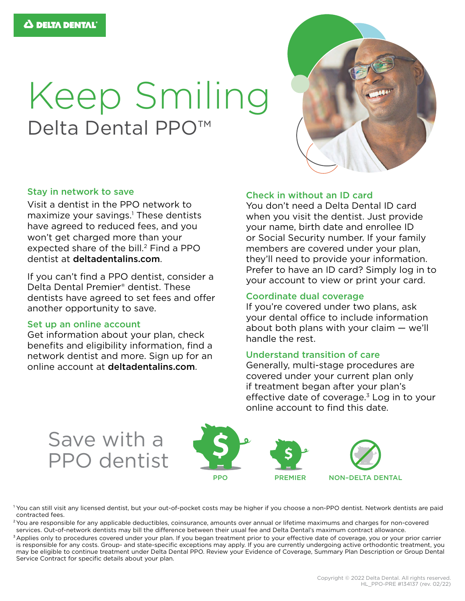# Keep Smiling Delta Dental PPO<sup>™</sup>



#### Stay in network to save

Visit a dentist in the PPO network to maximize your savings.<sup>1</sup> These dentists have agreed to reduced fees, and you won't get charged more than your expected share of the bill.<sup>2</sup> Find a PPO dentist at [deltadentalins.com](https://www1.deltadentalins.com).

If you can't find a PPO dentist, consider a Delta Dental Premier® dentist. These dentists have agreed to set fees and offer another opportunity to save.

#### Set up an online account

Get information about your plan, check benefits and eligibility information, find a network dentist and more. Sign up for an online account at [deltadentalins.com](https://www1.deltadentalins.com).

## Check in without an ID card

You don't need a Delta Dental ID card when you visit the dentist. Just provide your name, birth date and enrollee ID or Social Security number. If your family members are covered under your plan, they'll need to provide your information. Prefer to have an ID card? Simply log in to your account to view or print your card.

## Coordinate dual coverage

If you're covered under two plans, ask your dental office to include information about both plans with your claim — we'll handle the rest.

## Understand transition of care

Generally, multi-stage procedures are covered under your current plan only if treatment began after your plan's effective date of coverage. $3$  Log in to your online account to find this date.



<sup>1</sup> You can still visit any licensed dentist, but your out-of-pocket costs may be higher if you choose a non-PPO dentist. Network dentists are paid contracted fees.

<sup>2</sup>You are responsible for any applicable deductibles, coinsurance, amounts over annual or lifetime maximums and charges for non-covered services. Out-of-network dentists may bill the difference between their usual fee and Delta Dental's maximum contract allowance.

<sup>3</sup> Applies only to procedures covered under your plan. If you began treatment prior to your effective date of coverage, you or your prior carrier is responsible for any costs. Group- and state-specific exceptions may apply. If you are currently undergoing active orthodontic treatment, you may be eligible to continue treatment under Delta Dental PPO. Review your Evidence of Coverage, Summary Plan Description or Group Dental Service Contract for specific details about your plan.